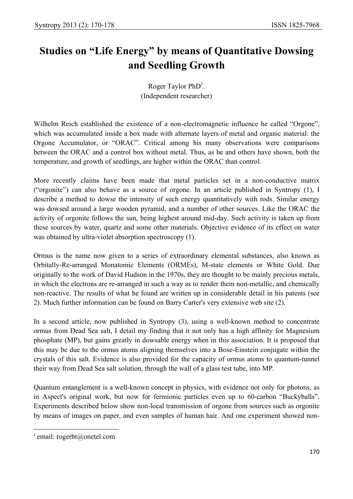# **Studies on "Life Energy" by means of Quantitative Dowsing and Seedling Growth**

Roger Taylor  $PhD<sup>1</sup>$ . (Independent researcher)

Wilhelm Reich established the existence of a non-electromagnetic influence he called "Orgone", which was accumulated inside a box made with alternate layers of metal and organic material: the Orgone Accumulator, or "ORAC". Critical among his many observations were comparisons between the ORAC and a control box without metal. Thus, as he and others have shown, both the temperature, and growth of seedlings, are higher within the ORAC than control.

More recently claims have been made that metal particles set in a non-conductive matrix ("orgonite") can also behave as a source of orgone. In an article published in Syntropy (1), I describe a method to dowse the intensity of such energy quantitatively with rods. Similar energy was dowsed around a large wooden pyramid, and a number of other sources. Like the ORAC the activity of orgonite follows the sun, being highest around mid-day. Such activity is taken up from these sources by water, quartz and some other materials. Objective evidence of its effect on water was obtained by ultra-violet absorption spectroscopy (1).

Ormus is the name now given to a series of extraordinary elemental substances, also known as Orbitally-Re-arranged Monatomic Elements (ORMEs), M-state elements or White Gold. Due originally to the work of David Hudson in the 1970s, they are thought to be mainly precious metals, in which the electrons are re-arranged in such a way as to render them non-metallic, and chemically non-reactive. The results of what he found are written up in considerable detail in his patents (see 2). Much further information can be found on Barry Carter's very extensive web site (2).

In a second article, now published in Syntropy (3), using a well-known method to concentrate ormus from Dead Sea salt, I detail my finding that it not only has a high affinity for Magnesium phosphate (MP), but gains greatly in dowsable energy when in this association. It is proposed that this may be due to the ormus atoms aligning themselves into a Bose-Einstein conjugate within the crystals of this salt. Evidence is also provided for the capacity of ormus atoms to quantum-tunnel their way from Dead Sea salt solution, through the wall of a glass test tube, into MP.

Quantum entanglement is a well-known concept in physics, with evidence not only for photons, as in Aspect's original work, but now for fermionic particles even up to 60-carbon "Buckyballs". Experiments described below show non-local transmission of orgone from sources such as orgonite by means of images on paper, and even samples of human hair. And one experiment showed non-

 $\overline{\phantom{a}}$ 

 $^1$  email: rogerbt@onetel.com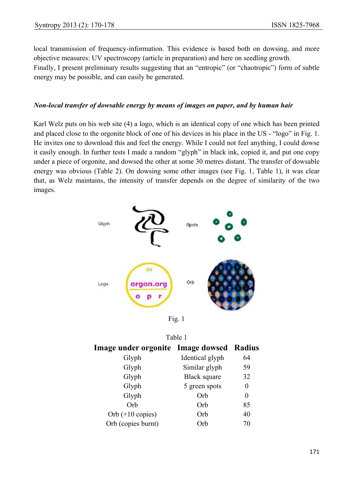local transmission of frequency-information. This evidence is based both on dowsing, and more objective measures: UV spectroscopy (article in preparation) and here on seedling growth.

Finally, I present preliminary results suggesting that an "entropic" (or "chaotropic") form of subtle energy may be possible, and can easily be generated.

## *Non-local transfer of dowsable energy by means of images on paper, and by human hair*

Karl Welz puts on his web site (4) a logo, which is an identical copy of one which has been printed and placed close to the orgonite block of one of his devices in his place in the US - "logo" in Fig. 1. He invites one to download this and feel the energy. While I could not feel anything, I could dowse it easily enough. In further tests I made a random "glyph" in black ink, copied it, and put one copy under a piece of orgonite, and dowsed the other at some 30 metres distant. The transfer of dowsable energy was obvious (Table 2). On dowsing some other images (see Fig. 1, Table 1), it was clear that, as Welz maintains, the intensity of transfer depends on the degree of similarity of the two images.



Fig. 1

| Table 1                                         |                     |    |  |  |
|-------------------------------------------------|---------------------|----|--|--|
| <b>Image under orgonite</b> Image dowsed Radius |                     |    |  |  |
| Glyph                                           | Identical glyph     | 64 |  |  |
| Glyph                                           | Similar glyph       | 59 |  |  |
| Glyph                                           | <b>Black square</b> | 32 |  |  |
| Glyph                                           | 5 green spots       | 0  |  |  |
| Glyph                                           | Orb                 | 0  |  |  |
| Orb                                             | Orb                 | 85 |  |  |
| Orb $(+10 \text{ copies})$                      | Orb                 | 40 |  |  |
| Orb (copies burnt)                              | )rh                 | 70 |  |  |
|                                                 |                     |    |  |  |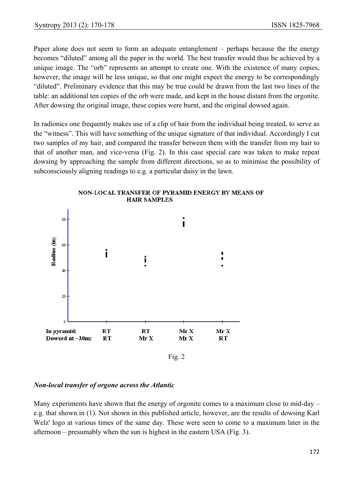Paper alone does not seem to form an adequate entanglement – perhaps because the the energy becomes "diluted" among all the paper in the world. The best transfer would thus be achieved by a unique image. The "orb" represents an attempt to create one. With the existence of many copies, however, the image will be less unique, so that one might expect the energy to be correspondingly "diluted". Preliminary evidence that this may be true could be drawn from the last two lines of the table: an additional ten copies of the orb were made, and kept in the house distant from the orgonite. After dowsing the original image, these copies were burnt, and the original dowsed again.

In radionics one frequently makes use of a clip of hair from the individual being treated, to serve as the "witness". This will have something of the unique signature of that individual. Accordingly I cut two samples of my hair, and compared the transfer between them with the transfer from my hair to that of another man, and vice-versa (Fig. 2). In this case special care was taken to make repeat dowsing by approaching the sample from different directions, so as to minimise the possibility of subconsciously aligning readings to e.g. a particular daisy in the lawn.



NON-LOCAL TRANSFER OF PYRAMID ENERGY BY MEANS OF **HAIR SAMPLES** 

#### *Non-local transfer of orgone across the Atlantic*

Many experiments have shown that the energy of orgonite comes to a maximum close to mid-day – e.g. that shown in (1). Not shown in this published article, however, are the results of dowsing Karl Welz' logo at various times of the same day. These were seen to come to a maximum later in the afternoon – presumably when the sun is highest in the eastern USA (Fig. 3).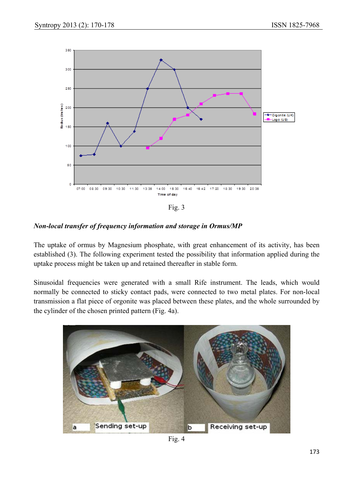

Fig. 3

# *Non-local transfer of frequency information and storage in Ormus/MP*

The uptake of ormus by Magnesium phosphate, with great enhancement of its activity, has been established (3). The following experiment tested the possibility that information applied during the uptake process might be taken up and retained thereafter in stable form.

Sinusoidal frequencies were generated with a small Rife instrument. The leads, which would normally be connected to sticky contact pads, were connected to two metal plates. For non-local transmission a flat piece of orgonite was placed between these plates, and the whole surrounded by the cylinder of the chosen printed pattern (Fig. 4a).



Fig. 4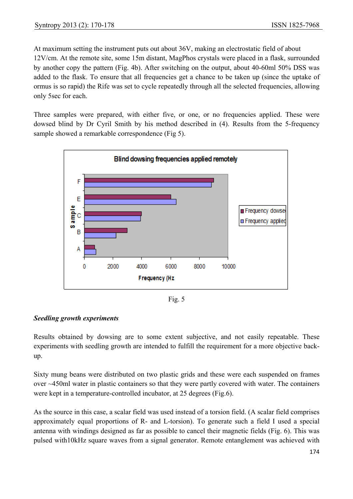At maximum setting the instrument puts out about 36V, making an electrostatic field of about 12V/cm. At the remote site, some 15m distant, MagPhos crystals were placed in a flask, surrounded by another copy the pattern (Fig. 4b). After switching on the output, about 40-60ml 50% DSS was added to the flask. To ensure that all frequencies get a chance to be taken up (since the uptake of ormus is so rapid) the Rife was set to cycle repeatedly through all the selected frequencies, allowing only 5sec for each.

Three samples were prepared, with either five, or one, or no frequencies applied. These were dowsed blind by Dr Cyril Smith by his method described in (4). Results from the 5-frequency sample showed a remarkable correspondence (Fig 5).



Fig. 5

# *Seedling growth experiments*

Results obtained by dowsing are to some extent subjective, and not easily repeatable. These experiments with seedling growth are intended to fulfill the requirement for a more objective backup.

Sixty mung beans were distributed on two plastic grids and these were each suspended on frames over ~450ml water in plastic containers so that they were partly covered with water. The containers were kept in a temperature-controlled incubator, at 25 degrees (Fig.6).

As the source in this case, a scalar field was used instead of a torsion field. (A scalar field comprises approximately equal proportions of R- and L-torsion). To generate such a field I used a special antenna with windings designed as far as possible to cancel their magnetic fields (Fig. 6). This was pulsed with10kHz square waves from a signal generator. Remote entanglement was achieved with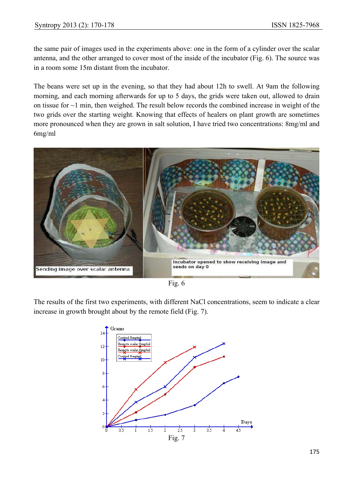the same pair of images used in the experiments above: one in the form of a cylinder over the scalar antenna, and the other arranged to cover most of the inside of the incubator (Fig. 6). The source was in a room some 15m distant from the incubator.

The beans were set up in the evening, so that they had about 12h to swell. At 9am the following morning, and each morning afterwards for up to 5 days, the grids were taken out, allowed to drain on tissue for ~1 min, then weighed. The result below records the combined increase in weight of the two grids over the starting weight. Knowing that effects of healers on plant growth are sometimes more pronounced when they are grown in salt solution, I have tried two concentrations: 8mg/ml and 6mg/ml



Fig. 6

The results of the first two experiments, with different NaCl concentrations, seem to indicate a clear increase in growth brought about by the remote field (Fig. 7).

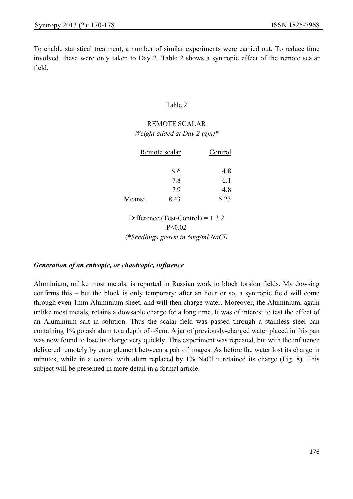To enable statistical treatment, a number of similar experiments were carried out. To reduce time involved, these were only taken to Day 2. Table 2 shows a syntropic effect of the remote scalar field.

#### Table 2

# REMOTE SCALAR *Weight added at Day 2 (gm)\**

|        | Remote scalar                      | Control |
|--------|------------------------------------|---------|
|        | 9.6                                | 4.8     |
|        | 7.8                                | 6.1     |
|        | 7.9                                | 4.8     |
| Means: | 8.43                               | 5.23    |
|        | Difference (Test-Control) = $+3.2$ |         |

P<0.02

(\**Seedlings grown in 6mg/ml NaCl)* 

#### *Generation of an entropic, or chaotropic, influence*

Aluminium, unlike most metals, is reported in Russian work to block torsion fields. My dowsing confirms this – but the block is only temporary: after an hour or so, a syntropic field will come through even 1mm Aluminium sheet, and will then charge water. Moreover, the Aluminium, again unlike most metals, retains a dowsable charge for a long time. It was of interest to test the effect of an Aluminium salt in solution. Thus the scalar field was passed through a stainless steel pan containing 1% potash alum to a depth of ~8cm. A jar of previously-charged water placed in this pan was now found to lose its charge very quickly. This experiment was repeated, but with the influence delivered remotely by entanglement between a pair of images. As before the water lost its charge in minutes, while in a control with alum replaced by 1% NaCl it retained its charge (Fig. 8). This subject will be presented in more detail in a formal article.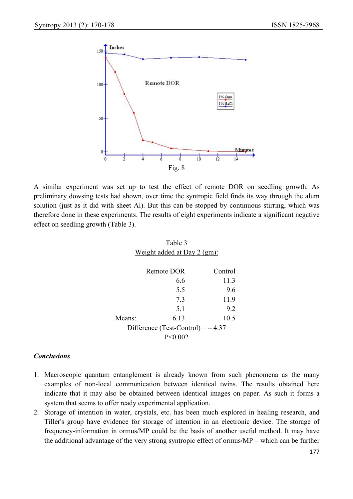

A similar experiment was set up to test the effect of remote DOR on seedling growth. As preliminary dowsing tests had shown, over time the syntropic field finds its way through the alum solution (just as it did with sheet Al). But this can be stopped by continuous stirring, which was therefore done in these experiments. The results of eight experiments indicate a significant negative effect on seedling growth (Table 3).

| Table 3                             |            |         |  |  |
|-------------------------------------|------------|---------|--|--|
| Weight added at Day 2 (gm):         |            |         |  |  |
|                                     |            |         |  |  |
|                                     | Remote DOR | Control |  |  |
|                                     | 66         | 11.3    |  |  |
|                                     | 55         | 96      |  |  |
|                                     | 73         | 11.9    |  |  |
|                                     | 51         | 92      |  |  |
| Means:                              | 6 13       | 10.5    |  |  |
| Difference (Test-Control) = $-4.37$ |            |         |  |  |
| $P \le 0.002$                       |            |         |  |  |

#### *Conclusions*

- 1. Macroscopic quantum entanglement is already known from such phenomena as the many examples of non-local communication between identical twins. The results obtained here indicate that it may also be obtained between identical images on paper. As such it forms a system that seems to offer ready experimental application.
- 2. Storage of intention in water, crystals, etc. has been much explored in healing research, and Tiller's group have evidence for storage of intention in an electronic device. The storage of frequency-information in ormus/MP could be the basis of another useful method. It may have the additional advantage of the very strong syntropic effect of ormus/MP – which can be further